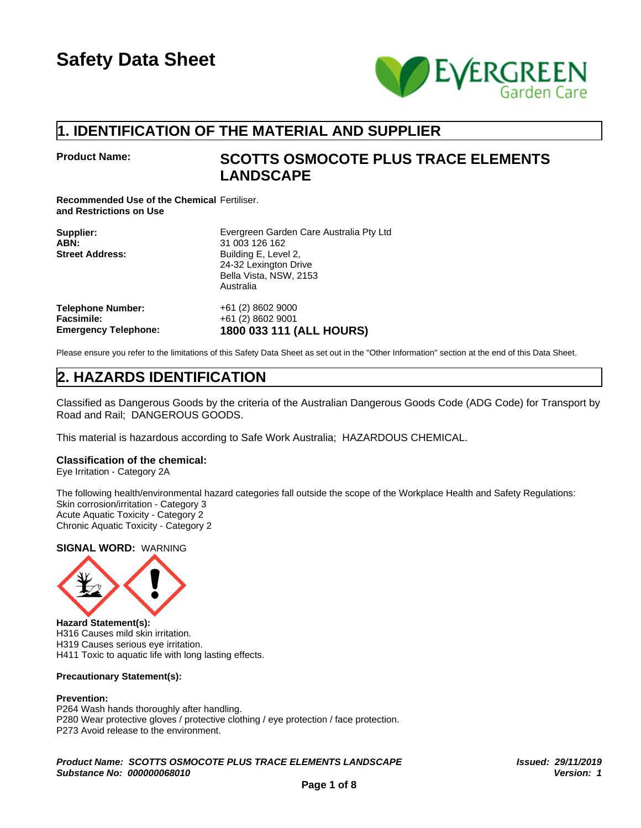

## **1. IDENTIFICATION OF THE MATERIAL AND SUPPLIER**

## **Product Name: SCOTTS OSMOCOTE PLUS TRACE ELEMENTS LANDSCAPE**

**Recommended Use of the Chemical** Fertiliser. **and Restrictions on Use**

| Supplier:<br>ABN:<br><b>Street Address:</b> | Evergreen Garden Care Australia Pty Ltd<br>31 003 126 162<br>Building E, Level 2,<br>24-32 Lexington Drive<br>Bella Vista, NSW, 2153<br>Australia |
|---------------------------------------------|---------------------------------------------------------------------------------------------------------------------------------------------------|
| <b>Telephone Number:</b>                    | +61 (2) 8602 9000                                                                                                                                 |
| <b>Facsimile:</b>                           | +61 (2) 8602 9001                                                                                                                                 |
| <b>Emergency Telephone:</b>                 | 1800 033 111 (ALL HOURS)                                                                                                                          |

Please ensure you refer to the limitations of this Safety Data Sheet as set out in the "Other Information" section at the end of this Data Sheet.

## **2. HAZARDS IDENTIFICATION**

Classified as Dangerous Goods by the criteria of the Australian Dangerous Goods Code (ADG Code) for Transport by Road and Rail; DANGEROUS GOODS.

This material is hazardous according to Safe Work Australia; HAZARDOUS CHEMICAL.

#### **Classification of the chemical:**

Eye Irritation - Category 2A

The following health/environmental hazard categories fall outside the scope of the Workplace Health and Safety Regulations: Skin corrosion/irritation - Category 3 Acute Aquatic Toxicity - Category 2 Chronic Aquatic Toxicity - Category 2

#### **SIGNAL WORD:** WARNING



**Hazard Statement(s):** H316 Causes mild skin irritation. H319 Causes serious eye irritation. H411 Toxic to aquatic life with long lasting effects.

#### **Precautionary Statement(s):**

#### **Prevention:**

P264 Wash hands thoroughly after handling. P280 Wear protective gloves / protective clothing / eye protection / face protection. P273 Avoid release to the environment.

*Product Name: SCOTTS OSMOCOTE PLUS TRACE ELEMENTS LANDSCAPE Issued: 29/11/2019 Substance No: 000000068010*

*Version: 1*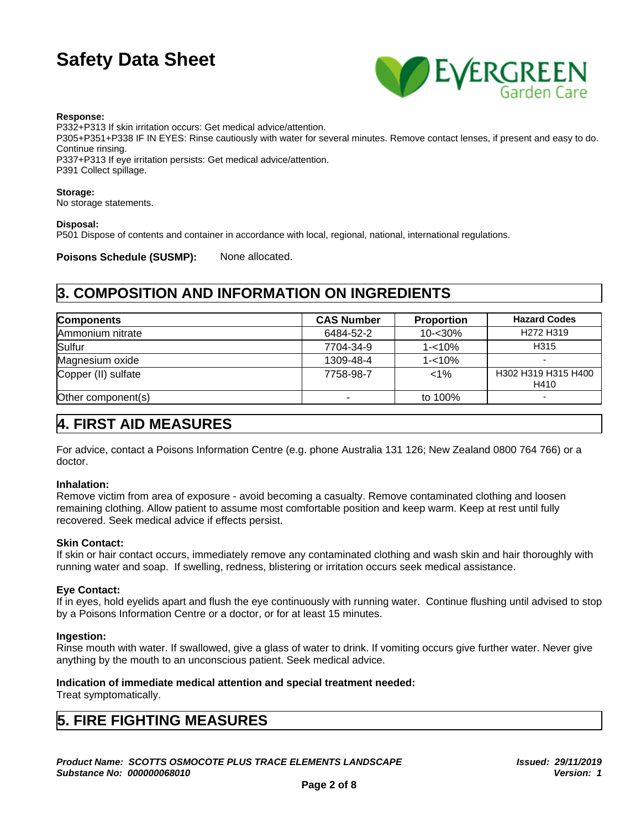

#### **Response:**

P332+P313 If skin irritation occurs: Get medical advice/attention. P305+P351+P338 IF IN EYES: Rinse cautiously with water for several minutes. Remove contact lenses, if present and easy to do. Continue rinsing.

P337+P313 If eye irritation persists: Get medical advice/attention. P391 Collect spillage.

#### **Storage:**

No storage statements.

#### **Disposal:**

P501 Dispose of contents and container in accordance with local, regional, national, international regulations.

Poisons Schedule (SUSMP): None allocated.

## **3. COMPOSITION AND INFORMATION ON INGREDIENTS**

| <b>Components</b>   | <b>CAS Number</b> | <b>Proportion</b> | <b>Hazard Codes</b>               |
|---------------------|-------------------|-------------------|-----------------------------------|
| Ammonium nitrate    | 6484-52-2         | $10 - 30%$        | H <sub>272</sub> H <sub>319</sub> |
| Sulfur              | 7704-34-9         | $1 - 10%$         | H315                              |
| Magnesium oxide     | 1309-48-4         | $1 - 10%$         |                                   |
| Copper (II) sulfate | 7758-98-7         | $< 1\%$           | H302 H319 H315 H400<br>H410       |
| Other component(s)  | $\sim$            | to 100%           |                                   |

## **4. FIRST AID MEASURES**

For advice, contact a Poisons Information Centre (e.g. phone Australia 131 126; New Zealand 0800 764 766) or a doctor.

#### **Inhalation:**

Remove victim from area of exposure - avoid becoming a casualty. Remove contaminated clothing and loosen remaining clothing. Allow patient to assume most comfortable position and keep warm. Keep at rest until fully recovered. Seek medical advice if effects persist.

#### **Skin Contact:**

If skin or hair contact occurs, immediately remove any contaminated clothing and wash skin and hair thoroughly with running water and soap. If swelling, redness, blistering or irritation occurs seek medical assistance.

#### **Eye Contact:**

If in eyes, hold eyelids apart and flush the eye continuously with running water. Continue flushing until advised to stop by a Poisons Information Centre or a doctor, or for at least 15 minutes.

#### **Ingestion:**

Rinse mouth with water. If swallowed, give a glass of water to drink. If vomiting occurs give further water. Never give anything by the mouth to an unconscious patient. Seek medical advice.

#### **Indication of immediate medical attention and special treatment needed:**

Treat symptomatically.

## **5. FIRE FIGHTING MEASURES**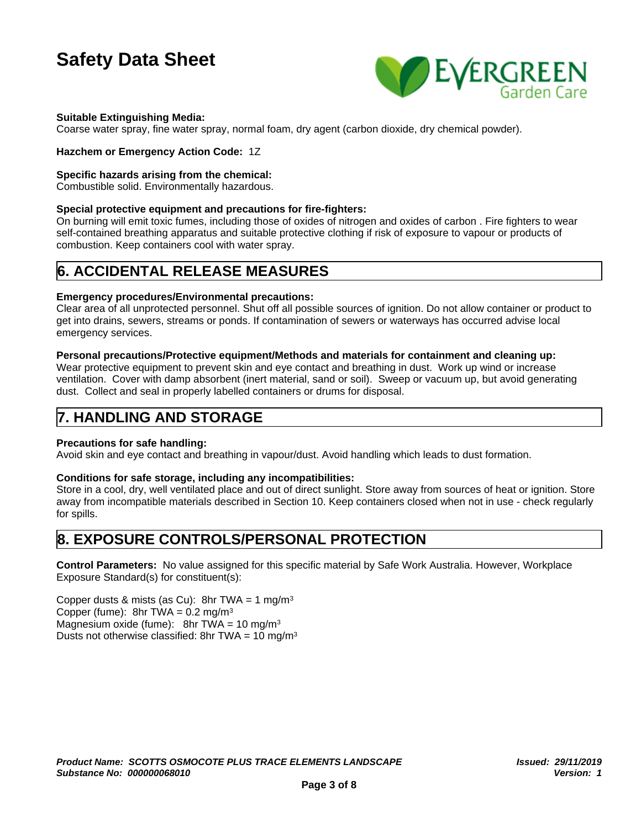

#### **Suitable Extinguishing Media:**

Coarse water spray, fine water spray, normal foam, dry agent (carbon dioxide, dry chemical powder).

#### **Hazchem or Emergency Action Code:** 1Z

#### **Specific hazards arising from the chemical:**

Combustible solid. Environmentally hazardous.

#### **Special protective equipment and precautions for fire-fighters:**

On burning will emit toxic fumes, including those of oxides of nitrogen and oxides of carbon . Fire fighters to wear self-contained breathing apparatus and suitable protective clothing if risk of exposure to vapour or products of combustion. Keep containers cool with water spray.

## **6. ACCIDENTAL RELEASE MEASURES**

#### **Emergency procedures/Environmental precautions:**

Clear area of all unprotected personnel. Shut off all possible sources of ignition. Do not allow container or product to get into drains, sewers, streams or ponds. If contamination of sewers or waterways has occurred advise local emergency services.

#### **Personal precautions/Protective equipment/Methods and materials for containment and cleaning up:**

Wear protective equipment to prevent skin and eye contact and breathing in dust. Work up wind or increase ventilation. Cover with damp absorbent (inert material, sand or soil). Sweep or vacuum up, but avoid generating dust. Collect and seal in properly labelled containers or drums for disposal.

### **7. HANDLING AND STORAGE**

#### **Precautions for safe handling:**

Avoid skin and eye contact and breathing in vapour/dust. Avoid handling which leads to dust formation.

#### **Conditions for safe storage, including any incompatibilities:**

Store in a cool, dry, well ventilated place and out of direct sunlight. Store away from sources of heat or ignition. Store away from incompatible materials described in Section 10. Keep containers closed when not in use - check regularly for spills.

## **8. EXPOSURE CONTROLS/PERSONAL PROTECTION**

**Control Parameters:** No value assigned for this specific material by Safe Work Australia. However, Workplace Exposure Standard(s) for constituent(s):

Copper dusts & mists (as Cu): 8hr TWA =  $1 \text{ mg/m}^3$ Copper (fume):  $8hr$  TWA = 0.2 mg/m<sup>3</sup> Magnesium oxide (fume): 8hr TWA = 10 mg/m<sup>3</sup> Dusts not otherwise classified: 8hr TWA =  $10 \text{ mg/m}^3$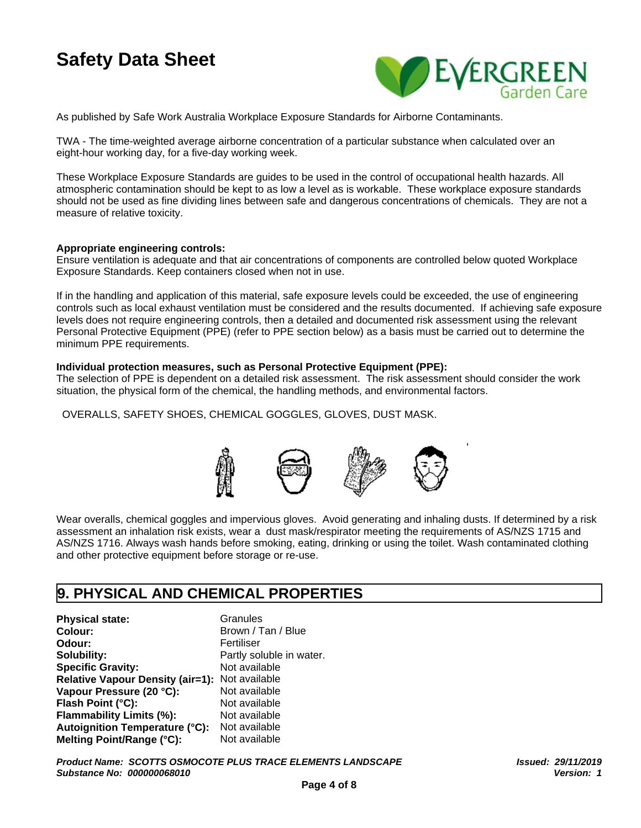

As published by Safe Work Australia Workplace Exposure Standards for Airborne Contaminants.

TWA - The time-weighted average airborne concentration of a particular substance when calculated over an eight-hour working day, for a five-day working week.

These Workplace Exposure Standards are guides to be used in the control of occupational health hazards. All atmospheric contamination should be kept to as low a level as is workable. These workplace exposure standards should not be used as fine dividing lines between safe and dangerous concentrations of chemicals. They are not a measure of relative toxicity.

#### **Appropriate engineering controls:**

Ensure ventilation is adequate and that air concentrations of components are controlled below quoted Workplace Exposure Standards. Keep containers closed when not in use.

If in the handling and application of this material, safe exposure levels could be exceeded, the use of engineering controls such as local exhaust ventilation must be considered and the results documented. If achieving safe exposure levels does not require engineering controls, then a detailed and documented risk assessment using the relevant Personal Protective Equipment (PPE) (refer to PPE section below) as a basis must be carried out to determine the minimum PPE requirements.

#### **Individual protection measures, such as Personal Protective Equipment (PPE):**

The selection of PPE is dependent on a detailed risk assessment. The risk assessment should consider the work situation, the physical form of the chemical, the handling methods, and environmental factors.

OVERALLS, SAFETY SHOES, CHEMICAL GOGGLES, GLOVES, DUST MASK.



Wear overalls, chemical goggles and impervious gloves. Avoid generating and inhaling dusts. If determined by a risk assessment an inhalation risk exists, wear a dust mask/respirator meeting the requirements of AS/NZS 1715 and AS/NZS 1716. Always wash hands before smoking, eating, drinking or using the toilet. Wash contaminated clothing and other protective equipment before storage or re-use.

### **9. PHYSICAL AND CHEMICAL PROPERTIES**

**Physical state:** Granules **Colour:** Brown / Tan / Blue **Odour:** Fertiliser **Solubility:** Partly soluble in water.<br> **Specific Gravity:** Not available **Specific Gravity: Relative Vapour Density (air=1):** Not available **Vapour Pressure (20 °C):** Not available **Flash Point (°C):** Not available **Flammability Limits (%):** Not available **Autoignition Temperature (°C):** Not available **Melting Point/Range (°C):** Not available

*Product Name: SCOTTS OSMOCOTE PLUS TRACE ELEMENTS LANDSCAPE Substance No: 000000068010*

*Issued: 29/11/2019 Version: 1*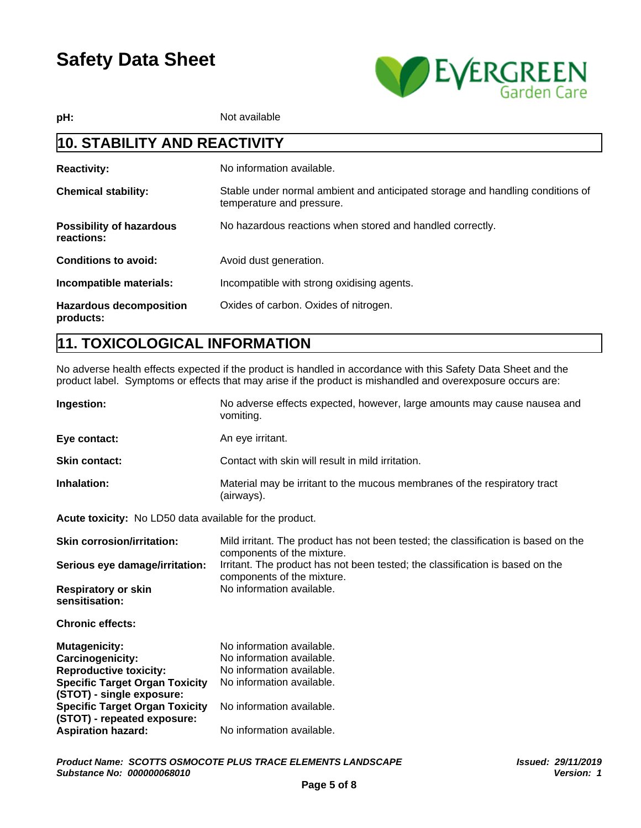

**pH:** Not available

## **10. STABILITY AND REACTIVITY**

| <b>Reactivity:</b>                            | No information available.                                                                                   |
|-----------------------------------------------|-------------------------------------------------------------------------------------------------------------|
| <b>Chemical stability:</b>                    | Stable under normal ambient and anticipated storage and handling conditions of<br>temperature and pressure. |
| <b>Possibility of hazardous</b><br>reactions: | No hazardous reactions when stored and handled correctly.                                                   |
| <b>Conditions to avoid:</b>                   | Avoid dust generation.                                                                                      |
| Incompatible materials:                       | Incompatible with strong oxidising agents.                                                                  |
| <b>Hazardous decomposition</b><br>products:   | Oxides of carbon. Oxides of nitrogen.                                                                       |

## **11. TOXICOLOGICAL INFORMATION**

No adverse health effects expected if the product is handled in accordance with this Safety Data Sheet and the product label. Symptoms or effects that may arise if the product is mishandled and overexposure occurs are:

| <b>Ingestion:</b>    | No adverse effects expected, however, large amounts may cause nausea and<br>vomiting.   |
|----------------------|-----------------------------------------------------------------------------------------|
| Eye contact:         | An eye irritant.                                                                        |
| <b>Skin contact:</b> | Contact with skin will result in mild irritation.                                       |
| Inhalation:          | Material may be irritant to the mucous membranes of the respiratory tract<br>(airways). |

**Acute toxicity:** No LD50 data available for the product.

| <b>Skin corrosion/irritation:</b>                                    | Mild irritant. The product has not been tested; the classification is based on the<br>components of the mixture. |
|----------------------------------------------------------------------|------------------------------------------------------------------------------------------------------------------|
| Serious eye damage/irritation:                                       | Irritant. The product has not been tested; the classification is based on the<br>components of the mixture.      |
| <b>Respiratory or skin</b><br>sensitisation:                         | No information available.                                                                                        |
| <b>Chronic effects:</b>                                              |                                                                                                                  |
| <b>Mutagenicity:</b>                                                 | No information available.                                                                                        |
| Carcinogenicity:                                                     | No information available.                                                                                        |
| <b>Reproductive toxicity:</b>                                        | No information available.                                                                                        |
| <b>Specific Target Organ Toxicity</b><br>(STOT) - single exposure:   | No information available.                                                                                        |
| <b>Specific Target Organ Toxicity</b><br>(STOT) - repeated exposure: | No information available.                                                                                        |
| <b>Aspiration hazard:</b>                                            | No information available.                                                                                        |
|                                                                      |                                                                                                                  |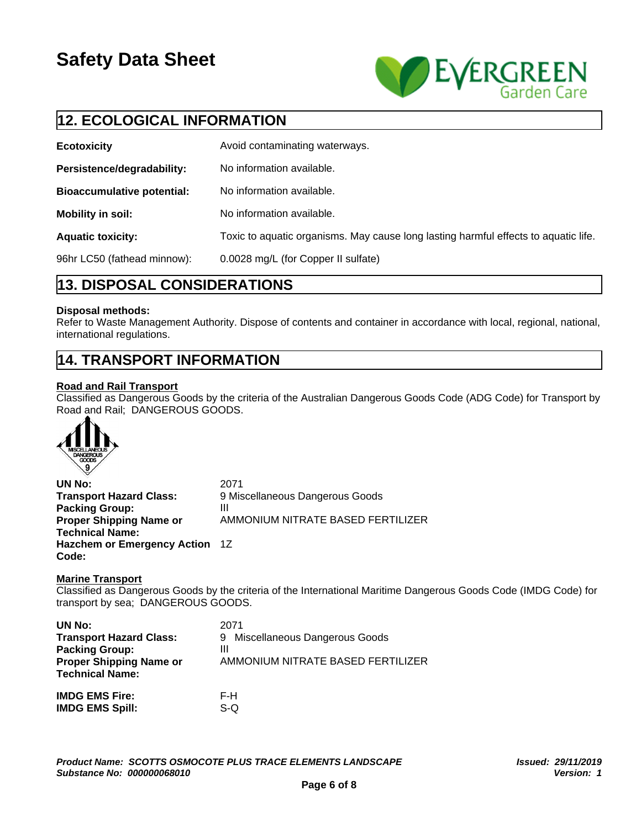

## **12. ECOLOGICAL INFORMATION**

| <b>Ecotoxicity</b>                | Avoid contaminating waterways.                                                      |
|-----------------------------------|-------------------------------------------------------------------------------------|
| Persistence/degradability:        | No information available.                                                           |
| <b>Bioaccumulative potential:</b> | No information available.                                                           |
| Mobility in soil:                 | No information available.                                                           |
| <b>Aquatic toxicity:</b>          | Toxic to aquatic organisms. May cause long lasting harmful effects to aquatic life. |
| 96hr LC50 (fathead minnow):       | 0.0028 mg/L (for Copper II sulfate)                                                 |

## **13. DISPOSAL CONSIDERATIONS**

#### **Disposal methods:**

Refer to Waste Management Authority. Dispose of contents and container in accordance with local, regional, national, international regulations.

## **14. TRANSPORT INFORMATION**

### **Road and Rail Transport**

Classified as Dangerous Goods by the criteria of the Australian Dangerous Goods Code (ADG Code) for Transport by Road and Rail; DANGEROUS GOODS.



**UN No:** 2071 **Transport Hazard Class:** 9 Miscellaneous Dangerous Goods **Packing Group:** III **Proper Shipping Name or Technical Name:** AMMONIUM NITRATE BASED FERTILIZER **Hazchem or Emergency Action** 1Z **Code:**

#### **Marine Transport**

Classified as Dangerous Goods by the criteria of the International Maritime Dangerous Goods Code (IMDG Code) for transport by sea; DANGEROUS GOODS.

| UN No:                         | 2071                              |
|--------------------------------|-----------------------------------|
| <b>Transport Hazard Class:</b> | Miscellaneous Dangerous Goods     |
| <b>Packing Group:</b>          | 9                                 |
| <b>Proper Shipping Name or</b> | Ш                                 |
| <b>Technical Name:</b>         | AMMONIUM NITRATE BASED FERTILIZER |
| <b>IMDG EMS Fire:</b>          | F-H                               |

S-Q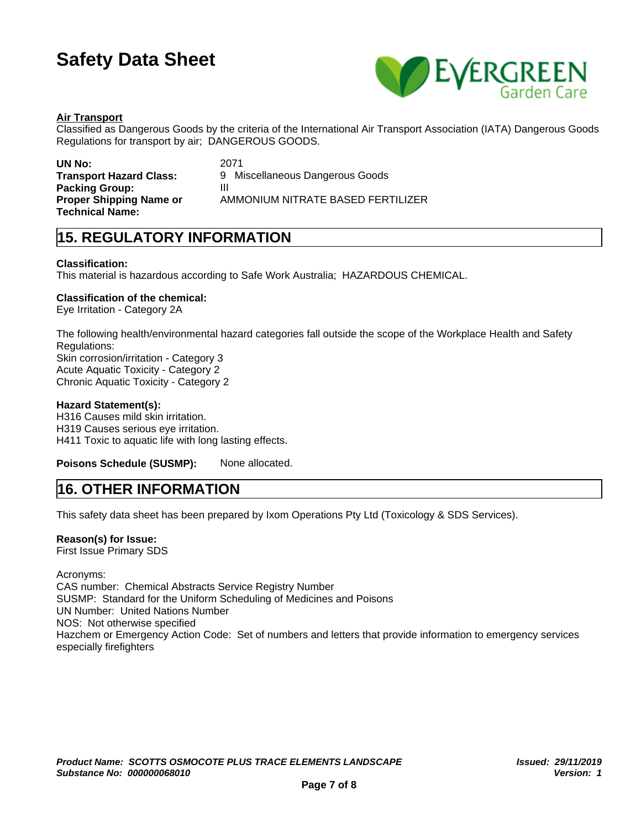

#### **Air Transport**

Classified as Dangerous Goods by the criteria of the International Air Transport Association (IATA) Dangerous Goods Regulations for transport by air; DANGEROUS GOODS.

**Packing Group:** III **Proper Shipping Name or Technical Name:**

**UN No:** 2071 **Transport Hazard Class:** 9 Miscellaneous Dangerous Goods AMMONIUM NITRATE BASED FERTILIZER

## **15. REGULATORY INFORMATION**

#### **Classification:**

This material is hazardous according to Safe Work Australia; HAZARDOUS CHEMICAL.

#### **Classification of the chemical:**

Eye Irritation - Category 2A

The following health/environmental hazard categories fall outside the scope of the Workplace Health and Safety Regulations: Skin corrosion/irritation - Category 3 Acute Aquatic Toxicity - Category 2 Chronic Aquatic Toxicity - Category 2

#### **Hazard Statement(s):**

H316 Causes mild skin irritation. H319 Causes serious eye irritation. H411 Toxic to aquatic life with long lasting effects.

**Poisons Schedule (SUSMP):** None allocated.

### **16. OTHER INFORMATION**

This safety data sheet has been prepared by Ixom Operations Pty Ltd (Toxicology & SDS Services).

#### **Reason(s) for Issue:**

First Issue Primary SDS

Acronyms: CAS number: Chemical Abstracts Service Registry Number SUSMP: Standard for the Uniform Scheduling of Medicines and Poisons UN Number: United Nations Number NOS: Not otherwise specified Hazchem or Emergency Action Code: Set of numbers and letters that provide information to emergency services especially firefighters